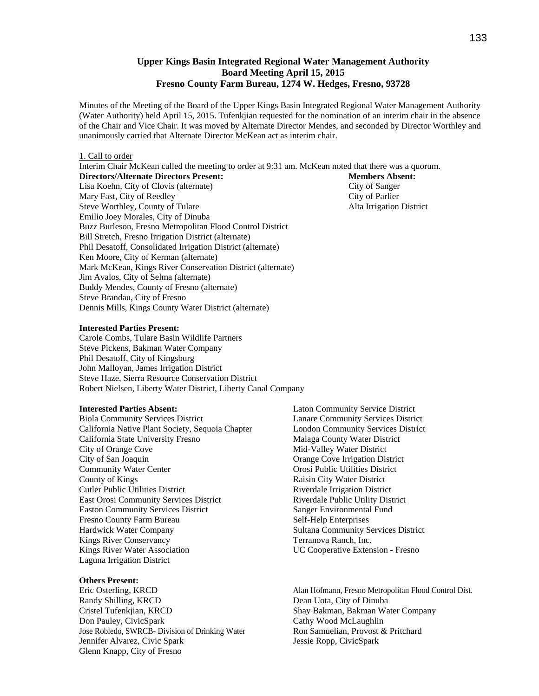### **Upper Kings Basin Integrated Regional Water Management Authority Board Meeting April 15, 2015 Fresno County Farm Bureau, 1274 W. Hedges, Fresno, 93728**

Minutes of the Meeting of the Board of the Upper Kings Basin Integrated Regional Water Management Authority (Water Authority) held April 15, 2015. Tufenkjian requested for the nomination of an interim chair in the absence of the Chair and Vice Chair. It was moved by Alternate Director Mendes, and seconded by Director Worthley and unanimously carried that Alternate Director McKean act as interim chair.

#### 1. Call to order

Interim Chair McKean called the meeting to order at 9:31 am. McKean noted that there was a quorum.

**Directors/Alternate Directors Present: Members Absent: Members Absent:** Lisa Koehn, City of Clovis (alternate) City of Sanger Mary Fast, City of Reedley City of Parlier Steve Worthley, County of Tulare Alta Irrigation District Emilio Joey Morales, City of Dinuba Buzz Burleson, Fresno Metropolitan Flood Control District Bill Stretch, Fresno Irrigation District (alternate) Phil Desatoff, Consolidated Irrigation District (alternate) Ken Moore, City of Kerman (alternate) Mark McKean, Kings River Conservation District (alternate) Jim Avalos, City of Selma (alternate) Buddy Mendes, County of Fresno (alternate) Steve Brandau, City of Fresno Dennis Mills, Kings County Water District (alternate)

#### **Interested Parties Present:**

Carole Combs, Tulare Basin Wildlife Partners Steve Pickens, Bakman Water Company Phil Desatoff, City of Kingsburg John Malloyan, James Irrigation District Steve Haze, Sierra Resource Conservation District Robert Nielsen, Liberty Water District, Liberty Canal Company

#### **Interested Parties Absent:**

Biola Community Services District California Native Plant Society, Sequoia Chapter California State University Fresno City of Orange Cove City of San Joaquin Community Water Center County of Kings Cutler Public Utilities District East Orosi Community Services District Easton Community Services District Fresno County Farm Bureau Hardwick Water Company Kings River Conservancy Kings River Water Association Laguna Irrigation District

#### **Others Present:**

Eric Osterling, KRCD Randy Shilling, KRCD Cristel Tufenkjian, KRCD Don Pauley, CivicSpark Jose Robledo, SWRCB- Division of Drinking Water Jennifer Alvarez, Civic Spark Glenn Knapp, City of Fresno

Laton Community Service District Lanare Community Services District London Community Services District Malaga County Water District Mid-Valley Water District Orange Cove Irrigation District Orosi Public Utilities District Raisin City Water District Riverdale Irrigation District Riverdale Public Utility District Sanger Environmental Fund Self-Help Enterprises Sultana Community Services District Terranova Ranch, Inc. UC Cooperative Extension - Fresno

Alan Hofmann, Fresno Metropolitan Flood Control Dist. Dean Uota, City of Dinuba Shay Bakman, Bakman Water Company Cathy Wood McLaughlin Ron Samuelian, Provost & Pritchard Jessie Ropp, CivicSpark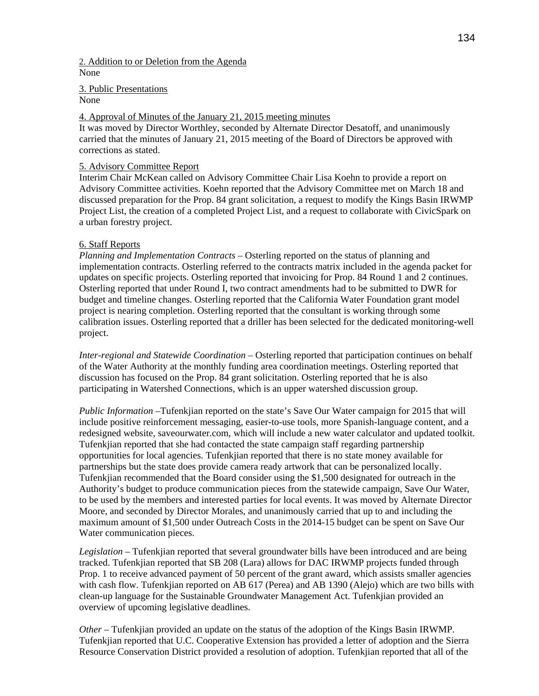2. Addition to or Deletion from the Agenda None

3. Public Presentations

# None

# 4. Approval of Minutes of the January 21, 2015 meeting minutes

It was moved by Director Worthley, seconded by Alternate Director Desatoff, and unanimously carried that the minutes of January 21, 2015 meeting of the Board of Directors be approved with corrections as stated.

## 5. Advisory Committee Report

Interim Chair McKean called on Advisory Committee Chair Lisa Koehn to provide a report on Advisory Committee activities. Koehn reported that the Advisory Committee met on March 18 and discussed preparation for the Prop. 84 grant solicitation, a request to modify the Kings Basin IRWMP Project List, the creation of a completed Project List, and a request to collaborate with CivicSpark on a urban forestry project.

## 6. Staff Reports

*Planning and Implementation Contracts* – Osterling reported on the status of planning and implementation contracts. Osterling referred to the contracts matrix included in the agenda packet for updates on specific projects. Osterling reported that invoicing for Prop. 84 Round 1 and 2 continues. Osterling reported that under Round I, two contract amendments had to be submitted to DWR for budget and timeline changes. Osterling reported that the California Water Foundation grant model project is nearing completion. Osterling reported that the consultant is working through some calibration issues. Osterling reported that a driller has been selected for the dedicated monitoring-well project.

*Inter-regional and Statewide Coordination* – Osterling reported that participation continues on behalf of the Water Authority at the monthly funding area coordination meetings. Osterling reported that discussion has focused on the Prop. 84 grant solicitation. Osterling reported that he is also participating in Watershed Connections, which is an upper watershed discussion group.

*Public Information* –Tufenkjian reported on the state's Save Our Water campaign for 2015 that will include positive reinforcement messaging, easier-to-use tools, more Spanish-language content, and a redesigned website, saveourwater.com, which will include a new water calculator and updated toolkit. Tufenkjian reported that she had contacted the state campaign staff regarding partnership opportunities for local agencies. Tufenkjian reported that there is no state money available for partnerships but the state does provide camera ready artwork that can be personalized locally. Tufenkjian recommended that the Board consider using the \$1,500 designated for outreach in the Authority's budget to produce communication pieces from the statewide campaign, Save Our Water, to be used by the members and interested parties for local events. It was moved by Alternate Director Moore, and seconded by Director Morales, and unanimously carried that up to and including the maximum amount of \$1,500 under Outreach Costs in the 2014-15 budget can be spent on Save Our Water communication pieces.

*Legislation –* Tufenkjian reported that several groundwater bills have been introduced and are being tracked. Tufenkjian reported that SB 208 (Lara) allows for DAC IRWMP projects funded through Prop. 1 to receive advanced payment of 50 percent of the grant award, which assists smaller agencies with cash flow. Tufenkjian reported on AB 617 (Perea) and AB 1390 (Alejo) which are two bills with clean-up language for the Sustainable Groundwater Management Act. Tufenkjian provided an overview of upcoming legislative deadlines.

*Other –* Tufenkjian provided an update on the status of the adoption of the Kings Basin IRWMP. Tufenkjian reported that U.C. Cooperative Extension has provided a letter of adoption and the Sierra Resource Conservation District provided a resolution of adoption. Tufenkjian reported that all of the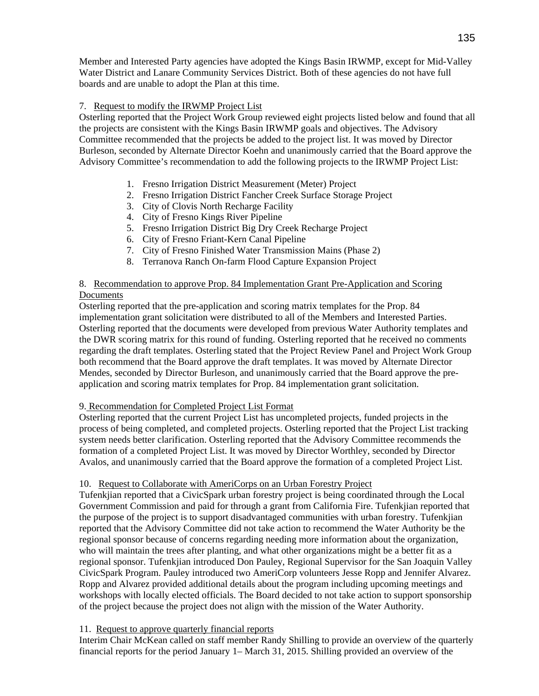Member and Interested Party agencies have adopted the Kings Basin IRWMP, except for Mid-Valley Water District and Lanare Community Services District. Both of these agencies do not have full boards and are unable to adopt the Plan at this time.

# 7. Request to modify the IRWMP Project List

Osterling reported that the Project Work Group reviewed eight projects listed below and found that all the projects are consistent with the Kings Basin IRWMP goals and objectives. The Advisory Committee recommended that the projects be added to the project list. It was moved by Director Burleson, seconded by Alternate Director Koehn and unanimously carried that the Board approve the Advisory Committee's recommendation to add the following projects to the IRWMP Project List:

- 1. Fresno Irrigation District Measurement (Meter) Project
- 2. Fresno Irrigation District Fancher Creek Surface Storage Project
- 3. City of Clovis North Recharge Facility
- 4. City of Fresno Kings River Pipeline
- 5. Fresno Irrigation District Big Dry Creek Recharge Project
- 6. City of Fresno Friant-Kern Canal Pipeline
- 7. City of Fresno Finished Water Transmission Mains (Phase 2)
- 8. Terranova Ranch On-farm Flood Capture Expansion Project

## 8. Recommendation to approve Prop. 84 Implementation Grant Pre-Application and Scoring Documents

Osterling reported that the pre-application and scoring matrix templates for the Prop. 84 implementation grant solicitation were distributed to all of the Members and Interested Parties. Osterling reported that the documents were developed from previous Water Authority templates and the DWR scoring matrix for this round of funding. Osterling reported that he received no comments regarding the draft templates. Osterling stated that the Project Review Panel and Project Work Group both recommend that the Board approve the draft templates. It was moved by Alternate Director Mendes, seconded by Director Burleson, and unanimously carried that the Board approve the preapplication and scoring matrix templates for Prop. 84 implementation grant solicitation.

## 9. Recommendation for Completed Project List Format

Osterling reported that the current Project List has uncompleted projects, funded projects in the process of being completed, and completed projects. Osterling reported that the Project List tracking system needs better clarification. Osterling reported that the Advisory Committee recommends the formation of a completed Project List. It was moved by Director Worthley, seconded by Director Avalos, and unanimously carried that the Board approve the formation of a completed Project List.

## 10. Request to Collaborate with AmeriCorps on an Urban Forestry Project

Tufenkjian reported that a CivicSpark urban forestry project is being coordinated through the Local Government Commission and paid for through a grant from California Fire. Tufenkjian reported that the purpose of the project is to support disadvantaged communities with urban forestry. Tufenkjian reported that the Advisory Committee did not take action to recommend the Water Authority be the regional sponsor because of concerns regarding needing more information about the organization, who will maintain the trees after planting, and what other organizations might be a better fit as a regional sponsor. Tufenkjian introduced Don Pauley, Regional Supervisor for the San Joaquin Valley CivicSpark Program. Pauley introduced two AmeriCorp volunteers Jesse Ropp and Jennifer Alvarez. Ropp and Alvarez provided additional details about the program including upcoming meetings and workshops with locally elected officials. The Board decided to not take action to support sponsorship of the project because the project does not align with the mission of the Water Authority.

## 11. Request to approve quarterly financial reports

Interim Chair McKean called on staff member Randy Shilling to provide an overview of the quarterly financial reports for the period January 1– March 31, 2015. Shilling provided an overview of the